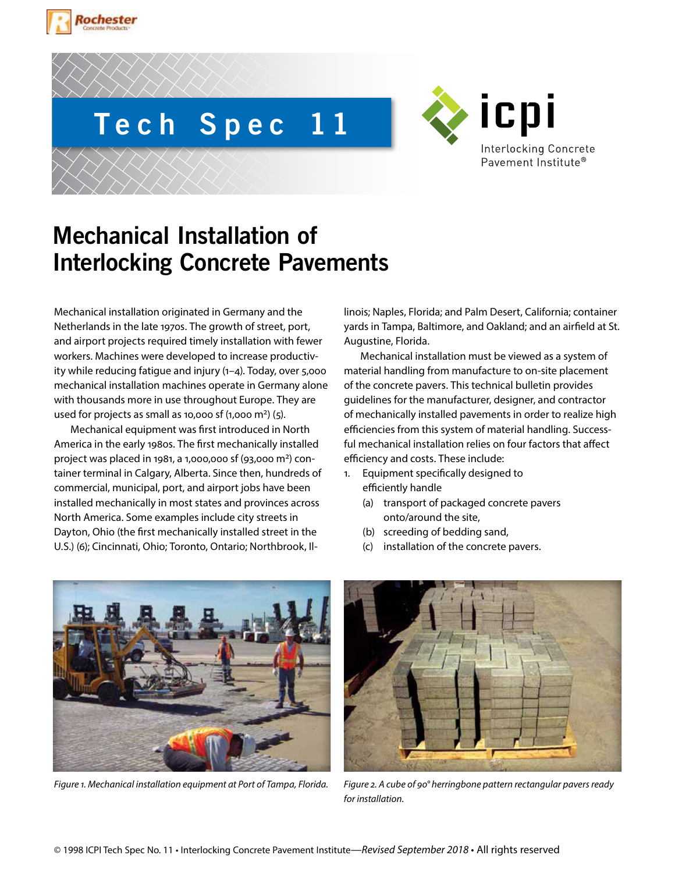



**Tech Spec 11**



# **Mechanical Installation of Interlocking Concrete Pavements**

Mechanical installation originated in Germany and the Netherlands in the late 1970s. The growth of street, port, and airport projects required timely installation with fewer workers. Machines were developed to increase productivity while reducing fatigue and injury (1–4). Today, over 5,000 mechanical installation machines operate in Germany alone with thousands more in use throughout Europe. They are used for projects as small as 10,000 sf  $(1,000 \text{ m}^2)(5)$ .

Mechanical equipment was first introduced in North America in the early 1980s. The first mechanically installed project was placed in 1981, a 1,000,000 sf (93,000 m2) container terminal in Calgary, Alberta. Since then, hundreds of commercial, municipal, port, and airport jobs have been installed mechanically in most states and provinces across North America. Some examples include city streets in Dayton, Ohio (the first mechanically installed street in the U.S.) (6); Cincinnati, Ohio; Toronto, Ontario; Northbrook, Illinois; Naples, Florida; and Palm Desert, California; container yards in Tampa, Baltimore, and Oakland; and an airfield at St. Augustine, Florida.

Mechanical installation must be viewed as a system of material handling from manufacture to on-site placement of the concrete pavers. This technical bulletin provides guidelines for the manufacturer, designer, and contractor of mechanically installed pavements in order to realize high efficiencies from this system of material handling. Successful mechanical installation relies on four factors that affect efficiency and costs. These include:

- 1. Equipment specifically designed to efficiently handle
	- (a) transport of packaged concrete pavers onto/around the site,
	- (b) screeding of bedding sand,
	- (c) installation of the concrete pavers.



*Figure 1. Mechanical installation equipment at Port of Tampa, Florida. Figure 2. A cube of 90° herringbone pattern rectangular pavers ready* 



*for installation.*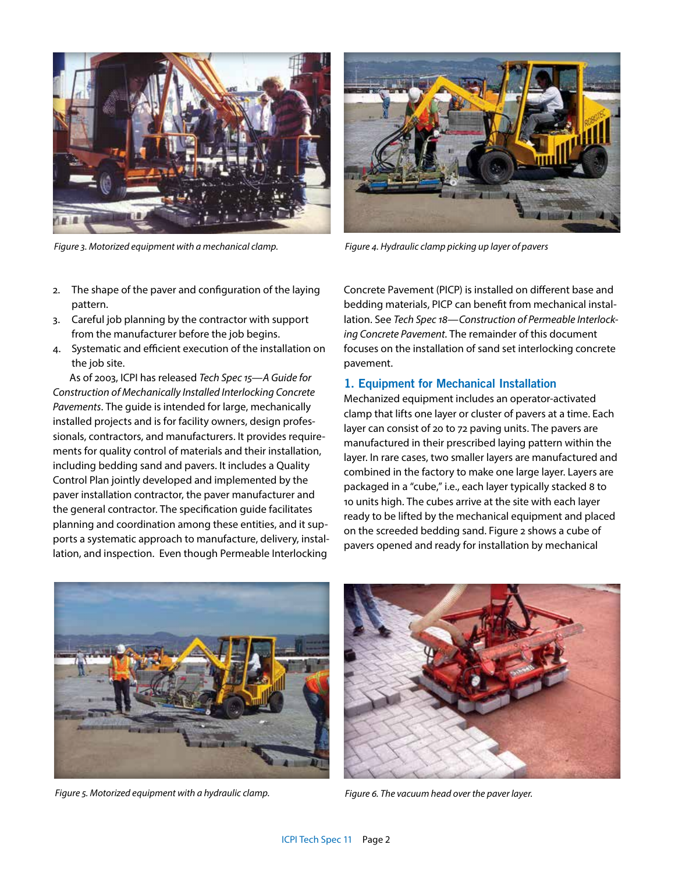

*Figure 3. Motorized equipment with a mechanical clamp. Figure 4. Hydraulic clamp picking up layer of pavers*

- 2. The shape of the paver and configuration of the laying pattern.
- 3. Careful job planning by the contractor with support from the manufacturer before the job begins.
- 4. Systematic and efficient execution of the installation on the job site.

As of 2003, ICPI has released *Tech Spec 15—A Guide for Construction of Mechanically Installed Interlocking Concrete Pavements*. The guide is intended for large, mechanically installed projects and is for facility owners, design professionals, contractors, and manufacturers. It provides requirements for quality control of materials and their installation, including bedding sand and pavers. It includes a Quality Control Plan jointly developed and implemented by the paver installation contractor, the paver manufacturer and the general contractor. The specification guide facilitates planning and coordination among these entities, and it supports a systematic approach to manufacture, delivery, installation, and inspection. Even though Permeable Interlocking



Concrete Pavement (PICP) is installed on different base and bedding materials, PICP can benefit from mechanical installation. See *Tech Spec 18—Construction of Permeable Interlocking Concrete Pavement*. The remainder of this document focuses on the installation of sand set interlocking concrete pavement.

### **1. Equipment for Mechanical Installation**

Mechanized equipment includes an operator-activated clamp that lifts one layer or cluster of pavers at a time. Each layer can consist of 20 to 72 paving units. The pavers are manufactured in their prescribed laying pattern within the layer. In rare cases, two smaller layers are manufactured and combined in the factory to make one large layer. Layers are packaged in a "cube," i.e., each layer typically stacked 8 to 10 units high. The cubes arrive at the site with each layer ready to be lifted by the mechanical equipment and placed on the screeded bedding sand. Figure 2 shows a cube of pavers opened and ready for installation by mechanical



*Figure 5. Motorized equipment with a hydraulic clamp. Figure 6. The vacuum head over the paver layer.*

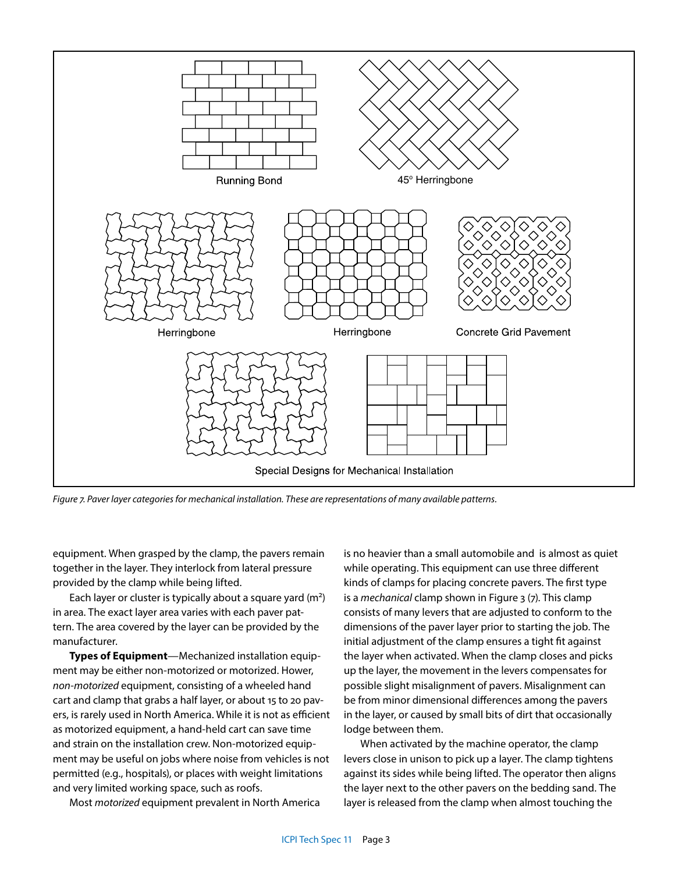

*Figure 7. Paver layer categories for mechanical installation. These are representations of many available patterns.*

equipment. When grasped by the clamp, the pavers remain together in the layer. They interlock from lateral pressure provided by the clamp while being lifted.

Each layer or cluster is typically about a square yard (m2) in area. The exact layer area varies with each paver pattern. The area covered by the layer can be provided by the manufacturer.

**Types of Equipment**—Mechanized installation equipment may be either non-motorized or motorized. Hower, *non-motorized* equipment, consisting of a wheeled hand cart and clamp that grabs a half layer, or about 15 to 20 pavers, is rarely used in North America. While it is not as efficient as motorized equipment, a hand-held cart can save time and strain on the installation crew. Non-motorized equipment may be useful on jobs where noise from vehicles is not permitted (e.g., hospitals), or places with weight limitations and very limited working space, such as roofs.

Most *motorized* equipment prevalent in North America

is no heavier than a small automobile and is almost as quiet while operating. This equipment can use three different kinds of clamps for placing concrete pavers. The first type is a *mechanical* clamp shown in Figure 3 (7). This clamp consists of many levers that are adjusted to conform to the dimensions of the paver layer prior to starting the job. The initial adjustment of the clamp ensures a tight fit against the layer when activated. When the clamp closes and picks up the layer, the movement in the levers compensates for possible slight misalignment of pavers. Misalignment can be from minor dimensional differences among the pavers in the layer, or caused by small bits of dirt that occasionally lodge between them.

When activated by the machine operator, the clamp levers close in unison to pick up a layer. The clamp tightens against its sides while being lifted. The operator then aligns the layer next to the other pavers on the bedding sand. The layer is released from the clamp when almost touching the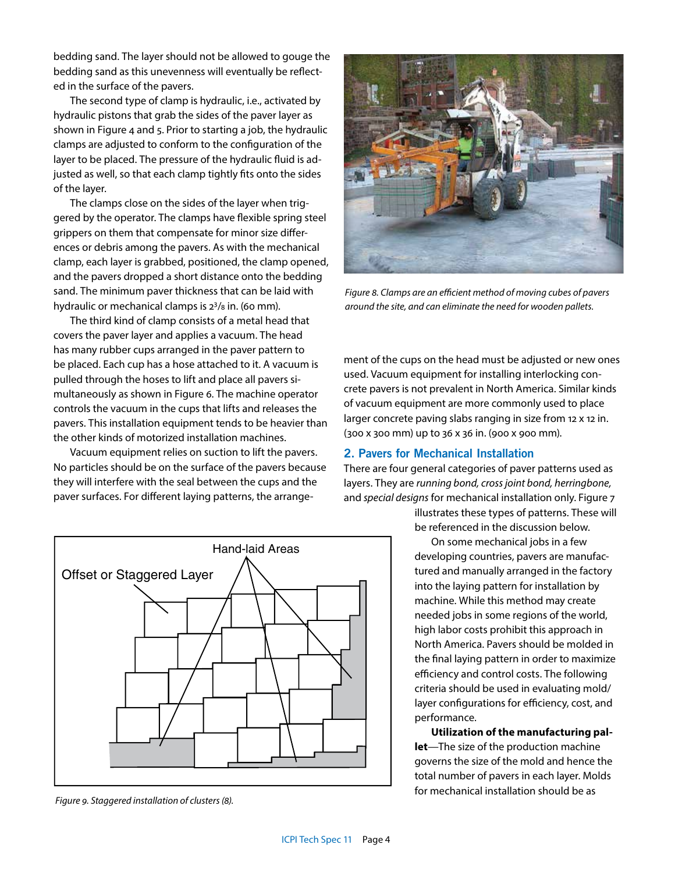bedding sand. The layer should not be allowed to gouge the bedding sand as this unevenness will eventually be reflected in the surface of the pavers.

The second type of clamp is hydraulic, i.e., activated by hydraulic pistons that grab the sides of the paver layer as shown in Figure 4 and 5. Prior to starting a job, the hydraulic clamps are adjusted to conform to the configuration of the layer to be placed. The pressure of the hydraulic fluid is adjusted as well, so that each clamp tightly fits onto the sides of the layer.

The clamps close on the sides of the layer when triggered by the operator. The clamps have flexible spring steel grippers on them that compensate for minor size differences or debris among the pavers. As with the mechanical clamp, each layer is grabbed, positioned, the clamp opened, and the pavers dropped a short distance onto the bedding sand. The minimum paver thickness that can be laid with hydraulic or mechanical clamps is 23/8 in. (60 mm).

The third kind of clamp consists of a metal head that covers the paver layer and applies a vacuum. The head has many rubber cups arranged in the paver pattern to be placed. Each cup has a hose attached to it. A vacuum is pulled through the hoses to lift and place all pavers simultaneously as shown in Figure 6. The machine operator controls the vacuum in the cups that lifts and releases the pavers. This installation equipment tends to be heavier than the other kinds of motorized installation machines.

Vacuum equipment relies on suction to lift the pavers. No particles should be on the surface of the pavers because they will interfere with the seal between the cups and the paver surfaces. For different laying patterns, the arrange-



*Figure 9. Staggered installation of clusters (8).*



*Figure 8. Clamps are an efficient method of moving cubes of pavers around the site, and can eliminate the need for wooden pallets.*

ment of the cups on the head must be adjusted or new ones used. Vacuum equipment for installing interlocking concrete pavers is not prevalent in North America. Similar kinds of vacuum equipment are more commonly used to place larger concrete paving slabs ranging in size from 12 x 12 in. (300 x 300 mm) up to 36 x 36 in. (900 x 900 mm).

# **2. Pavers for Mechanical Installation**

There are four general categories of paver patterns used as layers. They are *running bond, cross joint bond, herringbone,* and *special designs* for mechanical installation only. Figure 7

> illustrates these types of patterns. These will be referenced in the discussion below.

> On some mechanical jobs in a few developing countries, pavers are manufactured and manually arranged in the factory into the laying pattern for installation by machine. While this method may create needed jobs in some regions of the world, high labor costs prohibit this approach in North America. Pavers should be molded in the final laying pattern in order to maximize efficiency and control costs. The following criteria should be used in evaluating mold/ layer configurations for efficiency, cost, and performance.

> **Utilization of the manufacturing pallet**—The size of the production machine governs the size of the mold and hence the total number of pavers in each layer. Molds for mechanical installation should be as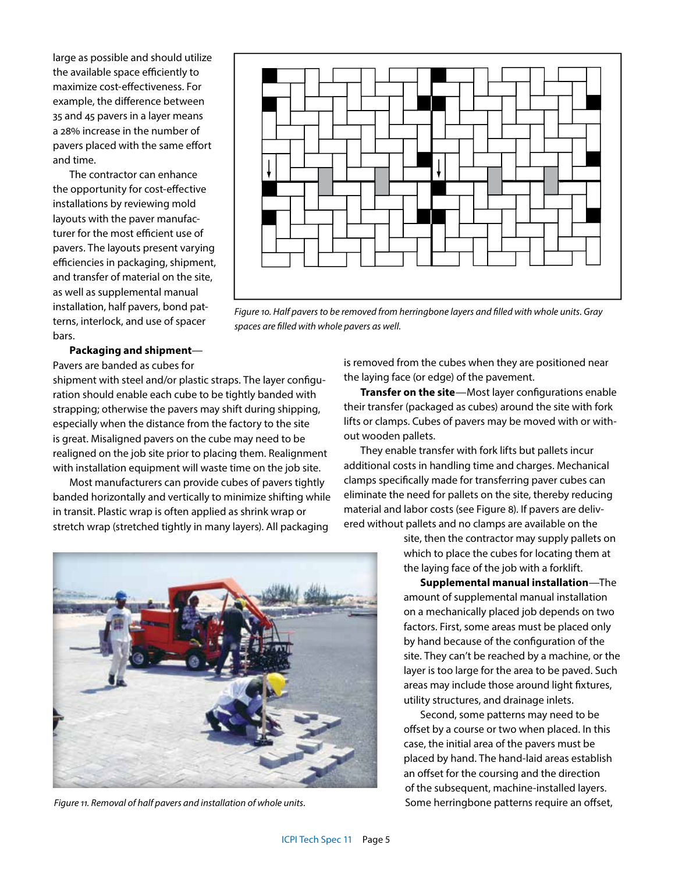large as possible and should utilize the available space efficiently to maximize cost-effectiveness. For example, the difference between 35 and 45 pavers in a layer means a 28% increase in the number of pavers placed with the same effort and time.

The contractor can enhance the opportunity for cost-effective installations by reviewing mold layouts with the paver manufacturer for the most efficient use of pavers. The layouts present varying efficiencies in packaging, shipment, and transfer of material on the site, as well as supplemental manual installation, half pavers, bond patterns, interlock, and use of spacer bars.

*Figure 10. Half pavers to be removed from herringbone layers and filled with whole units. Gray spaces are filled with whole pavers as well.*

**Packaging and shipment**—

Pavers are banded as cubes for

shipment with steel and/or plastic straps. The layer configuration should enable each cube to be tightly banded with strapping; otherwise the pavers may shift during shipping, especially when the distance from the factory to the site is great. Misaligned pavers on the cube may need to be realigned on the job site prior to placing them. Realignment with installation equipment will waste time on the job site.

Most manufacturers can provide cubes of pavers tightly banded horizontally and vertically to minimize shifting while in transit. Plastic wrap is often applied as shrink wrap or stretch wrap (stretched tightly in many layers). All packaging

*Figure 11. Removal of half pavers and installation of whole units.*

is removed from the cubes when they are positioned near the laying face (or edge) of the pavement.

**Transfer on the site**—Most layer configurations enable their transfer (packaged as cubes) around the site with fork lifts or clamps. Cubes of pavers may be moved with or without wooden pallets.

They enable transfer with fork lifts but pallets incur additional costs in handling time and charges. Mechanical clamps specifically made for transferring paver cubes can eliminate the need for pallets on the site, thereby reducing material and labor costs (see Figure 8). If pavers are delivered without pallets and no clamps are available on the

> site, then the contractor may supply pallets on which to place the cubes for locating them at the laying face of the job with a forklift.

**Supplemental manual installation**—The amount of supplemental manual installation on a mechanically placed job depends on two factors. First, some areas must be placed only by hand because of the configuration of the site. They can't be reached by a machine, or the layer is too large for the area to be paved. Such areas may include those around light fixtures, utility structures, and drainage inlets.

Second, some patterns may need to be offset by a course or two when placed. In this case, the initial area of the pavers must be placed by hand. The hand-laid areas establish an offset for the coursing and the direction of the subsequent, machine-installed layers. Some herringbone patterns require an offset,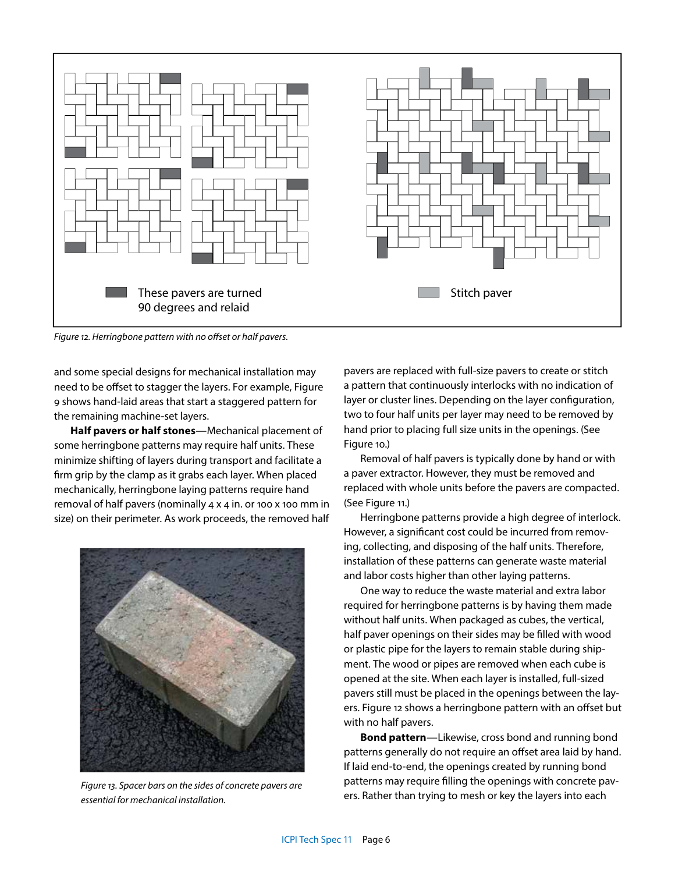

*Figure 12. Herringbone pattern with no offset or half pavers.*

and some special designs for mechanical installation may need to be offset to stagger the layers. For example, Figure 9 shows hand-laid areas that start a staggered pattern for the remaining machine-set layers.

**Half pavers or half stones**—Mechanical placement of some herringbone patterns may require half units. These minimize shifting of layers during transport and facilitate a firm grip by the clamp as it grabs each layer. When placed mechanically, herringbone laying patterns require hand removal of half pavers (nominally 4 x 4 in. or 100 x 100 mm in size) on their perimeter. As work proceeds, the removed half



*Figure 13. Spacer bars on the sides of concrete pavers are essential for mechanical installation.*

pavers are replaced with full-size pavers to create or stitch a pattern that continuously interlocks with no indication of layer or cluster lines. Depending on the layer configuration, two to four half units per layer may need to be removed by hand prior to placing full size units in the openings. (See Figure 10.)

Removal of half pavers is typically done by hand or with a paver extractor. However, they must be removed and replaced with whole units before the pavers are compacted. (See Figure 11.)

Herringbone patterns provide a high degree of interlock. However, a significant cost could be incurred from removing, collecting, and disposing of the half units. Therefore, installation of these patterns can generate waste material and labor costs higher than other laying patterns.

One way to reduce the waste material and extra labor required for herringbone patterns is by having them made without half units. When packaged as cubes, the vertical, half paver openings on their sides may be filled with wood or plastic pipe for the layers to remain stable during shipment. The wood or pipes are removed when each cube is opened at the site. When each layer is installed, full-sized pavers still must be placed in the openings between the layers. Figure 12 shows a herringbone pattern with an offset but with no half pavers.

**Bond pattern**—Likewise, cross bond and running bond patterns generally do not require an offset area laid by hand. If laid end-to-end, the openings created by running bond patterns may require filling the openings with concrete pavers. Rather than trying to mesh or key the layers into each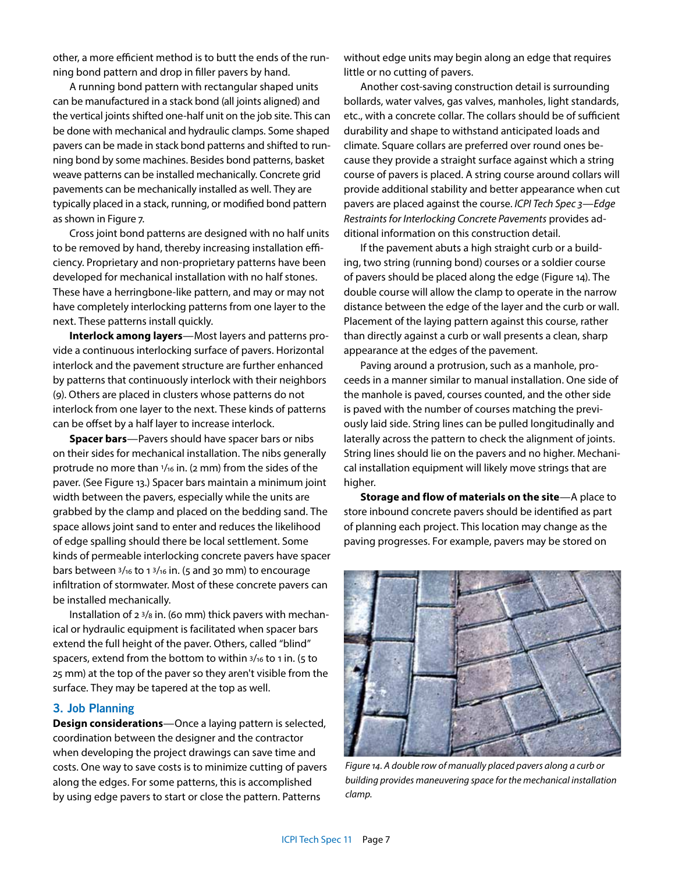other, a more efficient method is to butt the ends of the running bond pattern and drop in filler pavers by hand.

A running bond pattern with rectangular shaped units can be manufactured in a stack bond (all joints aligned) and the vertical joints shifted one-half unit on the job site. This can be done with mechanical and hydraulic clamps. Some shaped pavers can be made in stack bond patterns and shifted to running bond by some machines. Besides bond patterns, basket weave patterns can be installed mechanically. Concrete grid pavements can be mechanically installed as well. They are typically placed in a stack, running, or modified bond pattern as shown in Figure 7.

Cross joint bond patterns are designed with no half units to be removed by hand, thereby increasing installation efficiency. Proprietary and non-proprietary patterns have been developed for mechanical installation with no half stones. These have a herringbone-like pattern, and may or may not have completely interlocking patterns from one layer to the next. These patterns install quickly.

**Interlock among layers**—Most layers and patterns provide a continuous interlocking surface of pavers. Horizontal interlock and the pavement structure are further enhanced by patterns that continuously interlock with their neighbors (9). Others are placed in clusters whose patterns do not interlock from one layer to the next. These kinds of patterns can be offset by a half layer to increase interlock.

**Spacer bars**—Pavers should have spacer bars or nibs on their sides for mechanical installation. The nibs generally protrude no more than  $1/16$  in. (2 mm) from the sides of the paver. (See Figure 13.) Spacer bars maintain a minimum joint width between the pavers, especially while the units are grabbed by the clamp and placed on the bedding sand. The space allows joint sand to enter and reduces the likelihood of edge spalling should there be local settlement. Some kinds of permeable interlocking concrete pavers have spacer bars between 3/16 to 1 3/16 in. (5 and 30 mm) to encourage infiltration of stormwater. Most of these concrete pavers can be installed mechanically.

Installation of 2 3/8 in. (60 mm) thick pavers with mechanical or hydraulic equipment is facilitated when spacer bars extend the full height of the paver. Others, called "blind" spacers, extend from the bottom to within 3/16 to 1 in. (5 to 25 mm) at the top of the paver so they aren't visible from the surface. They may be tapered at the top as well.

# **3. Job Planning**

**Design considerations**—Once a laying pattern is selected, coordination between the designer and the contractor when developing the project drawings can save time and costs. One way to save costs is to minimize cutting of pavers along the edges. For some patterns, this is accomplished by using edge pavers to start or close the pattern. Patterns

without edge units may begin along an edge that requires little or no cutting of pavers.

Another cost-saving construction detail is surrounding bollards, water valves, gas valves, manholes, light standards, etc., with a concrete collar. The collars should be of sufficient durability and shape to withstand anticipated loads and climate. Square collars are preferred over round ones because they provide a straight surface against which a string course of pavers is placed. A string course around collars will provide additional stability and better appearance when cut pavers are placed against the course. *ICPI Tech Spec 3—Edge Restraints for Interlocking Concrete Pavements* provides additional information on this construction detail.

If the pavement abuts a high straight curb or a building, two string (running bond) courses or a soldier course of pavers should be placed along the edge (Figure 14). The double course will allow the clamp to operate in the narrow distance between the edge of the layer and the curb or wall. Placement of the laying pattern against this course, rather than directly against a curb or wall presents a clean, sharp appearance at the edges of the pavement.

Paving around a protrusion, such as a manhole, proceeds in a manner similar to manual installation. One side of the manhole is paved, courses counted, and the other side is paved with the number of courses matching the previously laid side. String lines can be pulled longitudinally and laterally across the pattern to check the alignment of joints. String lines should lie on the pavers and no higher. Mechanical installation equipment will likely move strings that are higher.

**Storage and flow of materials on the site**—A place to store inbound concrete pavers should be identified as part of planning each project. This location may change as the paving progresses. For example, pavers may be stored on



*Figure 14. A double row of manually placed pavers along a curb or building provides maneuvering space for the mechanical installation clamp.*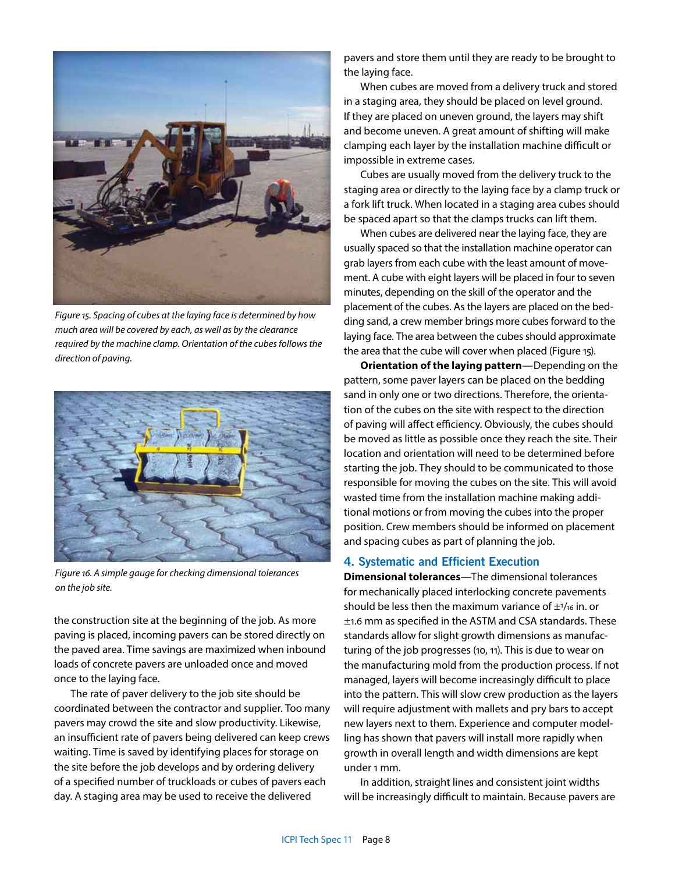

*Figure 15. Spacing of cubes at the laying face is determined by how much area will be covered by each, as well as by the clearance required by the machine clamp. Orientation of the cubes follows the direction of paving.*



*Figure 16. A simple gauge for checking dimensional tolerances on the job site.*

the construction site at the beginning of the job. As more paving is placed, incoming pavers can be stored directly on the paved area. Time savings are maximized when inbound loads of concrete pavers are unloaded once and moved once to the laying face.

The rate of paver delivery to the job site should be coordinated between the contractor and supplier. Too many pavers may crowd the site and slow productivity. Likewise, an insufficient rate of pavers being delivered can keep crews waiting. Time is saved by identifying places for storage on the site before the job develops and by ordering delivery of a specified number of truckloads or cubes of pavers each day. A staging area may be used to receive the delivered

pavers and store them until they are ready to be brought to the laying face.

When cubes are moved from a delivery truck and stored in a staging area, they should be placed on level ground. If they are placed on uneven ground, the layers may shift and become uneven. A great amount of shifting will make clamping each layer by the installation machine difficult or impossible in extreme cases.

Cubes are usually moved from the delivery truck to the staging area or directly to the laying face by a clamp truck or a fork lift truck. When located in a staging area cubes should be spaced apart so that the clamps trucks can lift them.

When cubes are delivered near the laying face, they are usually spaced so that the installation machine operator can grab layers from each cube with the least amount of movement. A cube with eight layers will be placed in four to seven minutes, depending on the skill of the operator and the placement of the cubes. As the layers are placed on the bedding sand, a crew member brings more cubes forward to the laying face. The area between the cubes should approximate the area that the cube will cover when placed (Figure 15).

**Orientation of the laying pattern**—Depending on the pattern, some paver layers can be placed on the bedding sand in only one or two directions. Therefore, the orientation of the cubes on the site with respect to the direction of paving will affect efficiency. Obviously, the cubes should be moved as little as possible once they reach the site. Their location and orientation will need to be determined before starting the job. They should to be communicated to those responsible for moving the cubes on the site. This will avoid wasted time from the installation machine making additional motions or from moving the cubes into the proper position. Crew members should be informed on placement and spacing cubes as part of planning the job.

## **4. Systematic and Efficient Execution**

**Dimensional tolerances**—The dimensional tolerances for mechanically placed interlocking concrete pavements should be less then the maximum variance of  $\pm$ <sup>1</sup>/16 in. or ±1.6 mm as specified in the ASTM and CSA standards. These standards allow for slight growth dimensions as manufacturing of the job progresses (10, 11). This is due to wear on the manufacturing mold from the production process. If not managed, layers will become increasingly difficult to place into the pattern. This will slow crew production as the layers will require adjustment with mallets and pry bars to accept new layers next to them. Experience and computer modelling has shown that pavers will install more rapidly when growth in overall length and width dimensions are kept under 1 mm.

In addition, straight lines and consistent joint widths will be increasingly difficult to maintain. Because pavers are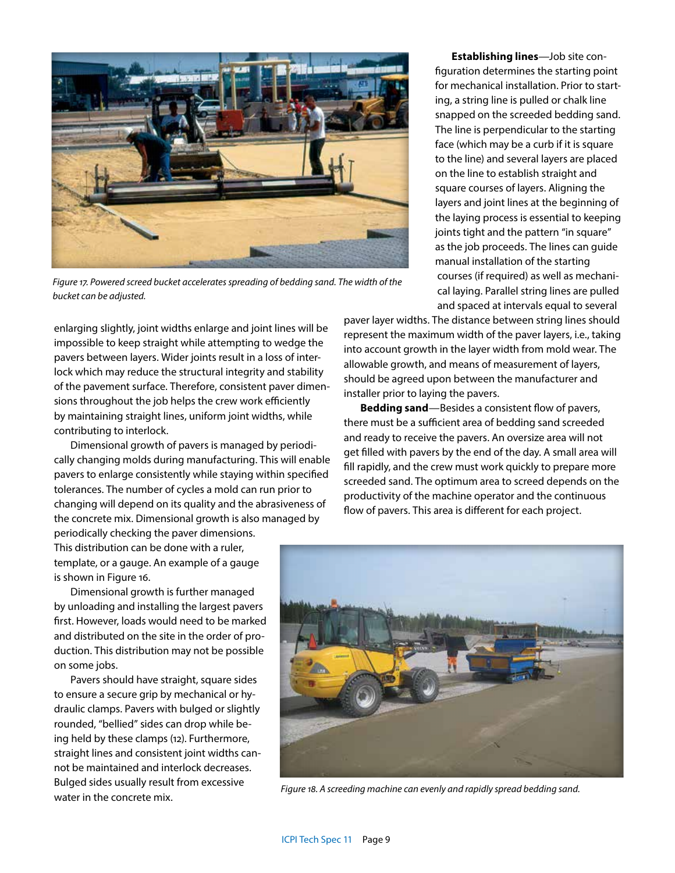

*Figure 17. Powered screed bucket accelerates spreading of bedding sand. The width of the bucket can be adjusted.*

enlarging slightly, joint widths enlarge and joint lines will be impossible to keep straight while attempting to wedge the pavers between layers. Wider joints result in a loss of interlock which may reduce the structural integrity and stability of the pavement surface. Therefore, consistent paver dimensions throughout the job helps the crew work efficiently by maintaining straight lines, uniform joint widths, while contributing to interlock.

Dimensional growth of pavers is managed by periodically changing molds during manufacturing. This will enable pavers to enlarge consistently while staying within specified tolerances. The number of cycles a mold can run prior to changing will depend on its quality and the abrasiveness of the concrete mix. Dimensional growth is also managed by

**Establishing lines**—Job site configuration determines the starting point for mechanical installation. Prior to starting, a string line is pulled or chalk line snapped on the screeded bedding sand. The line is perpendicular to the starting face (which may be a curb if it is square to the line) and several layers are placed on the line to establish straight and square courses of layers. Aligning the layers and joint lines at the beginning of the laying process is essential to keeping joints tight and the pattern "in square" as the job proceeds. The lines can guide manual installation of the starting courses (if required) as well as mechanical laying. Parallel string lines are pulled and spaced at intervals equal to several

paver layer widths. The distance between string lines should represent the maximum width of the paver layers, i.e., taking into account growth in the layer width from mold wear. The allowable growth, and means of measurement of layers, should be agreed upon between the manufacturer and installer prior to laying the pavers.

**Bedding sand**—Besides a consistent flow of pavers, there must be a sufficient area of bedding sand screeded and ready to receive the pavers. An oversize area will not get filled with pavers by the end of the day. A small area will fill rapidly, and the crew must work quickly to prepare more screeded sand. The optimum area to screed depends on the productivity of the machine operator and the continuous flow of pavers. This area is different for each project.

periodically checking the paver dimensions. This distribution can be done with a ruler, template, or a gauge. An example of a gauge is shown in Figure 16.

Dimensional growth is further managed by unloading and installing the largest pavers first. However, loads would need to be marked and distributed on the site in the order of production. This distribution may not be possible on some jobs.

Pavers should have straight, square sides to ensure a secure grip by mechanical or hydraulic clamps. Pavers with bulged or slightly rounded, "bellied" sides can drop while being held by these clamps (12). Furthermore, straight lines and consistent joint widths cannot be maintained and interlock decreases. Bulged sides usually result from excessive water in the concrete mix.



*Figure 18. A screeding machine can evenly and rapidly spread bedding sand.*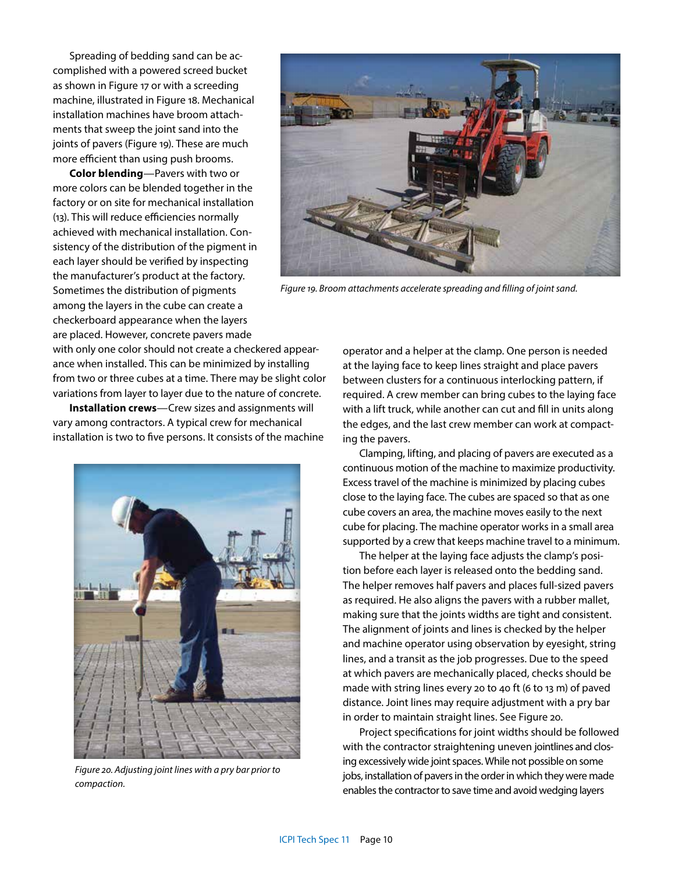Spreading of bedding sand can be accomplished with a powered screed bucket as shown in Figure 17 or with a screeding machine, illustrated in Figure 18. Mechanical installation machines have broom attachments that sweep the joint sand into the joints of pavers (Figure 19). These are much more efficient than using push brooms.

**Color blending**—Pavers with two or more colors can be blended together in the factory or on site for mechanical installation (13). This will reduce efficiencies normally achieved with mechanical installation. Consistency of the distribution of the pigment in each layer should be verified by inspecting the manufacturer's product at the factory. Sometimes the distribution of pigments among the layers in the cube can create a checkerboard appearance when the layers are placed. However, concrete pavers made

with only one color should not create a checkered appearance when installed. This can be minimized by installing from two or three cubes at a time. There may be slight color variations from layer to layer due to the nature of concrete.

**Installation crews**—Crew sizes and assignments will vary among contractors. A typical crew for mechanical installation is two to five persons. It consists of the machine



*Figure 20. Adjusting joint lines with a pry bar prior to compaction.*



*Figure 19. Broom attachments accelerate spreading and filling of joint sand.*

operator and a helper at the clamp. One person is needed at the laying face to keep lines straight and place pavers between clusters for a continuous interlocking pattern, if required. A crew member can bring cubes to the laying face with a lift truck, while another can cut and fill in units along the edges, and the last crew member can work at compacting the pavers.

Clamping, lifting, and placing of pavers are executed as a continuous motion of the machine to maximize productivity. Excess travel of the machine is minimized by placing cubes close to the laying face. The cubes are spaced so that as one cube covers an area, the machine moves easily to the next cube for placing. The machine operator works in a small area supported by a crew that keeps machine travel to a minimum.

The helper at the laying face adjusts the clamp's position before each layer is released onto the bedding sand. The helper removes half pavers and places full-sized pavers as required. He also aligns the pavers with a rubber mallet, making sure that the joints widths are tight and consistent. The alignment of joints and lines is checked by the helper and machine operator using observation by eyesight, string lines, and a transit as the job progresses. Due to the speed at which pavers are mechanically placed, checks should be made with string lines every 20 to 40 ft (6 to 13 m) of paved distance. Joint lines may require adjustment with a pry bar in order to maintain straight lines. See Figure 20.

Project specifications for joint widths should be followed with the contractor straightening uneven jointlines and closing excessively wide joint spaces. While not possible on some jobs, installation of pavers in the order in which they were made enables the contractor to save time and avoid wedging layers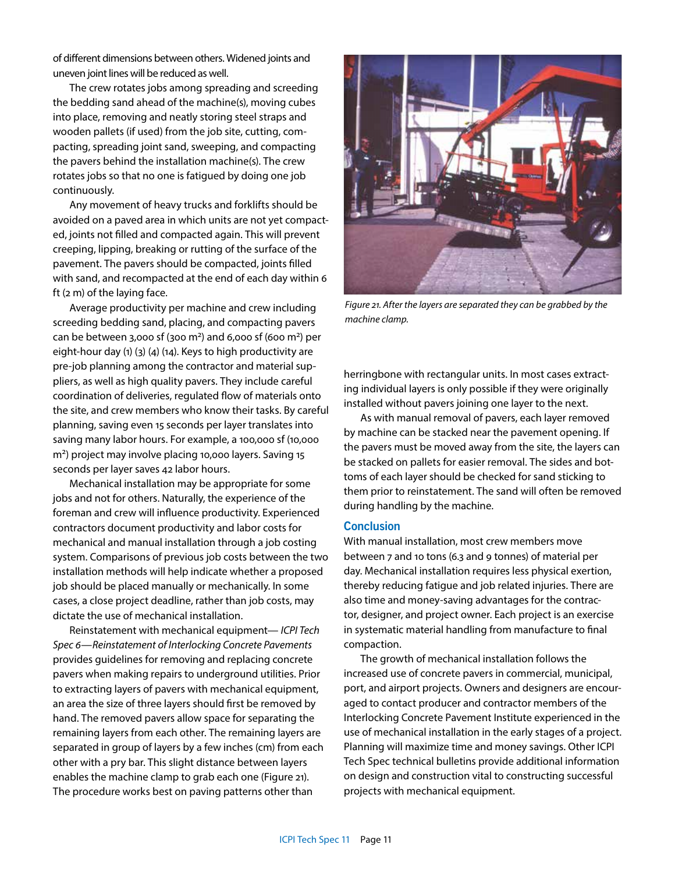of different dimensions between others. Widened joints and uneven joint lines will be reduced as well.

The crew rotates jobs among spreading and screeding the bedding sand ahead of the machine(s), moving cubes into place, removing and neatly storing steel straps and wooden pallets (if used) from the job site, cutting, compacting, spreading joint sand, sweeping, and compacting the pavers behind the installation machine(s). The crew rotates jobs so that no one is fatigued by doing one job continuously.

Any movement of heavy trucks and forklifts should be avoided on a paved area in which units are not yet compacted, joints not filled and compacted again. This will prevent creeping, lipping, breaking or rutting of the surface of the pavement. The pavers should be compacted, joints filled with sand, and recompacted at the end of each day within 6 ft (2 m) of the laying face.

Average productivity per machine and crew including screeding bedding sand, placing, and compacting pavers can be between 3,000 sf (300 m<sup>2</sup>) and 6,000 sf (600 m<sup>2</sup>) per eight-hour day (1) (3) (4) (14). Keys to high productivity are pre-job planning among the contractor and material suppliers, as well as high quality pavers. They include careful coordination of deliveries, regulated flow of materials onto the site, and crew members who know their tasks. By careful planning, saving even 15 seconds per layer translates into saving many labor hours. For example, a 100,000 sf (10,000 m2) project may involve placing 10,000 layers. Saving 15 seconds per layer saves 42 labor hours.

Mechanical installation may be appropriate for some jobs and not for others. Naturally, the experience of the foreman and crew will influence productivity. Experienced contractors document productivity and labor costs for mechanical and manual installation through a job costing system. Comparisons of previous job costs between the two installation methods will help indicate whether a proposed job should be placed manually or mechanically. In some cases, a close project deadline, rather than job costs, may dictate the use of mechanical installation.

Reinstatement with mechanical equipment— *ICPI Tech Spec 6—Reinstatement of Interlocking Concrete Pavements* provides guidelines for removing and replacing concrete pavers when making repairs to underground utilities. Prior to extracting layers of pavers with mechanical equipment, an area the size of three layers should first be removed by hand. The removed pavers allow space for separating the remaining layers from each other. The remaining layers are separated in group of layers by a few inches (cm) from each other with a pry bar. This slight distance between layers enables the machine clamp to grab each one (Figure 21). The procedure works best on paving patterns other than



*Figure 21. After the layers are separated they can be grabbed by the machine clamp.*

herringbone with rectangular units. In most cases extracting individual layers is only possible if they were originally installed without pavers joining one layer to the next.

As with manual removal of pavers, each layer removed by machine can be stacked near the pavement opening. If the pavers must be moved away from the site, the layers can be stacked on pallets for easier removal. The sides and bottoms of each layer should be checked for sand sticking to them prior to reinstatement. The sand will often be removed during handling by the machine.

### **Conclusion**

With manual installation, most crew members move between 7 and 10 tons (6.3 and 9 tonnes) of material per day. Mechanical installation requires less physical exertion, thereby reducing fatigue and job related injuries. There are also time and money-saving advantages for the contractor, designer, and project owner. Each project is an exercise in systematic material handling from manufacture to final compaction.

The growth of mechanical installation follows the increased use of concrete pavers in commercial, municipal, port, and airport projects. Owners and designers are encouraged to contact producer and contractor members of the Interlocking Concrete Pavement Institute experienced in the use of mechanical installation in the early stages of a project. Planning will maximize time and money savings. Other ICPI Tech Spec technical bulletins provide additional information on design and construction vital to constructing successful projects with mechanical equipment.